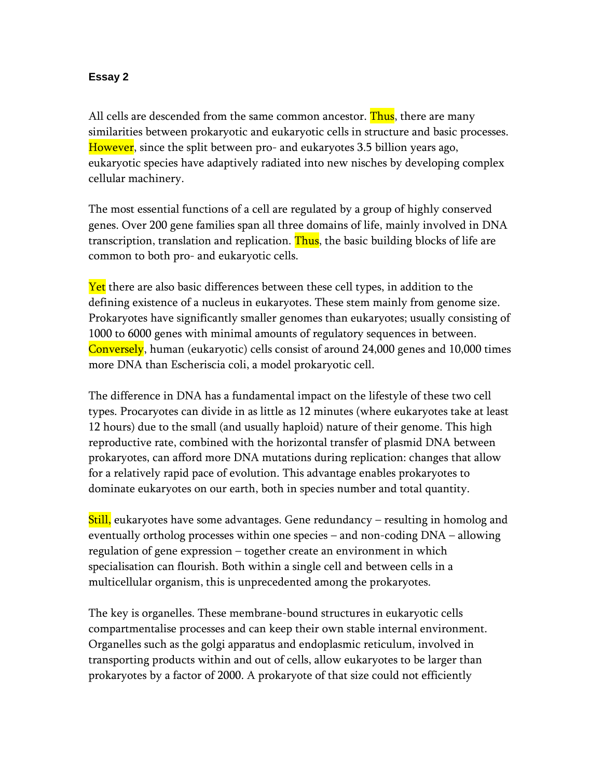## **Essay 2**

All cells are descended from the same common ancestor. Thus, there are many similarities between prokaryotic and eukaryotic cells in structure and basic processes. However, since the split between pro- and eukaryotes 3.5 billion years ago, eukaryotic species have adaptively radiated into new nisches by developing complex cellular machinery.

The most essential functions of a cell are regulated by a group of highly conserved genes. Over 200 gene families span all three domains of life, mainly involved in DNA transcription, translation and replication. Thus, the basic building blocks of life are common to both pro- and eukaryotic cells.

Yet there are also basic differences between these cell types, in addition to the defining existence of a nucleus in eukaryotes. These stem mainly from genome size. Prokaryotes have significantly smaller genomes than eukaryotes; usually consisting of 1000 to 6000 genes with minimal amounts of regulatory sequences in between. Conversely, human (eukaryotic) cells consist of around 24,000 genes and 10,000 times more DNA than Escheriscia coli, a model prokaryotic cell.

The difference in DNA has a fundamental impact on the lifestyle of these two cell types. Procaryotes can divide in as little as 12 minutes (where eukaryotes take at least 12 hours) due to the small (and usually haploid) nature of their genome. This high reproductive rate, combined with the horizontal transfer of plasmid DNA between prokaryotes, can afford more DNA mutations during replication: changes that allow for a relatively rapid pace of evolution. This advantage enables prokaryotes to dominate eukaryotes on our earth, both in species number and total quantity.

Still, eukaryotes have some advantages. Gene redundancy – resulting in homolog and eventually ortholog processes within one species – and non-coding DNA – allowing regulation of gene expression – together create an environment in which specialisation can flourish. Both within a single cell and between cells in a multicellular organism, this is unprecedented among the prokaryotes.

The key is organelles. These membrane-bound structures in eukaryotic cells compartmentalise processes and can keep their own stable internal environment. Organelles such as the golgi apparatus and endoplasmic reticulum, involved in transporting products within and out of cells, allow eukaryotes to be larger than prokaryotes by a factor of 2000. A prokaryote of that size could not efficiently